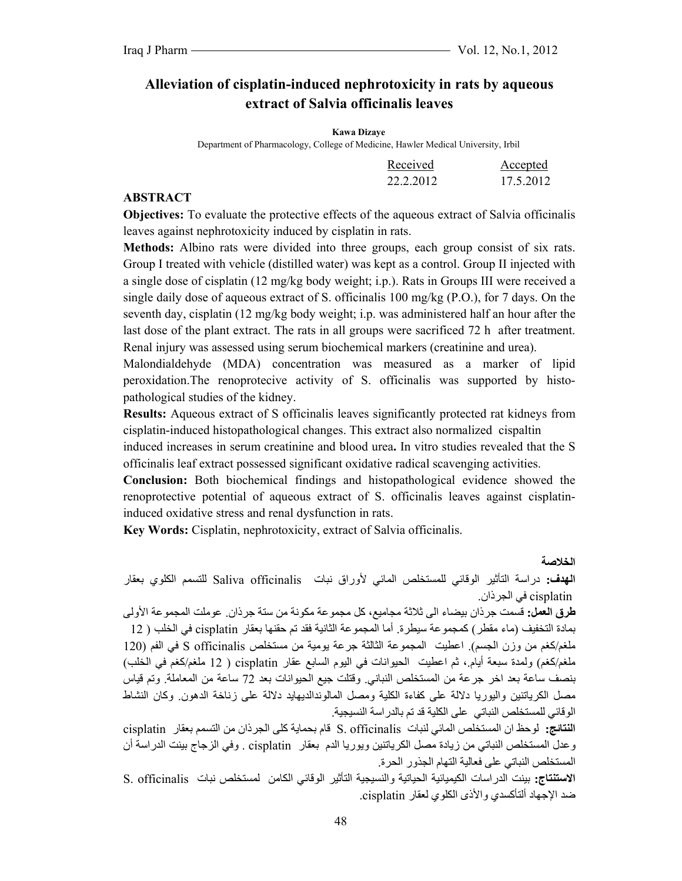# **Alleviation of cisplatin-induced nephrotoxicity in rats by aqueous extract of Salvia officinalis leaves**

#### **Kawa Dizaye**

Department of Pharmacology, College of Medicine, Hawler Medical University, Irbil

| Received  | Accepted  |
|-----------|-----------|
| 22.2.2012 | 17.5.2012 |

#### **ABSTRACT**

**Objectives:** To evaluate the protective effects of the aqueous extract of Salvia officinalis leaves against nephrotoxicity induced by cisplatin in rats.

**Methods:** Albino rats were divided into three groups, each group consist of six rats. Group I treated with vehicle (distilled water) was kept as a control. Group II injected with a single dose of cisplatin (12 mg/kg body weight; i.p.). Rats in Groups III were received a single daily dose of aqueous extract of S. officinalis 100 mg/kg (P.O.), for 7 days. On the seventh day, cisplatin (12 mg/kg body weight; i.p. was administered half an hour after the last dose of the plant extract. The rats in all groups were sacrificed 72 h after treatment. Renal injury was assessed using serum biochemical markers (creatinine and urea).

Malondialdehyde (MDA) concentration was measured as a marker of lipid peroxidation.The renoprotecive activity of S. officinalis was supported by histopathological studies of the kidney.

**Results:** Aqueous extract of S officinalis leaves significantly protected rat kidneys from cisplatin-induced histopathological changes. This extract also normalized cispaltin

induced increases in serum creatinine and blood urea**.** In vitro studies revealed that the S officinalis leaf extract possessed significant oxidative radical scavenging activities.

**Conclusion:** Both biochemical findings and histopathological evidence showed the renoprotective potential of aqueous extract of S. officinalis leaves against cisplatininduced oxidative stress and renal dysfunction in rats.

**Key Words:** Cisplatin, nephrotoxicity, extract of Salvia officinalis.

#### **الخلاصة**

**الهدف:** دراسة التأثير الوقائي للمستخلص المائي لأوراق نبات officinalis Saliva للتسمم الكلوي بعقار cisplatin في الجرذان.

**طرق العمل:** قسمت جرذان بيضاء الى ثلاثة مجاميع، آل مجموعة مكونة من ستة جرذان. عوملت المجموعة الأولى بمادة التخفيف (ماء مقطر) كمجموعة سيطرة. أما المجموعة الثانية فقد تم حقنها بعقار cisplatin في الخلب ( 12 ملغم/آغم من وزن الجسم). اعطيت المجموعة الثالثة جرعة يومية من مستخلص officinalis S في الفم (120 ملغم/آغم) ولمدة سبعة أيام،. ثم اعطيت الحيوانات في اليوم السابع عقار cisplatin ) 12 ملغم/آغم في الخلب) بنصف ساعة بعد اخر جرعة من المستخلص النباني. وقتلت جيع الحيوانات بعد 72 ساعة من المعاملة. وتم قياس مصل الكرياتنين واليوريا دلالة على كفاءة الكلية ومصل المالوندالديهايد دلالة على زناخة الدهون ٍ وكان النشاط الوقائي للمستخلص النباتي على الكلية قد تم بالدراسة النسيجية.

**النتائج:** لوحظ ان المستخلص المائي لنبات officinalis .S قام بحماية آلى الجرذان من التسمم بعقار cisplatin وعدل المستخلص النباتي من زيادة مصل الكرياتنين ويوريا الدم بعقار cisplatin . وفي الزجاج بينت الدراسة أن المستخلص النباتي على فعالية التهام الجذور الحرة.

**الاستنتاج:** بينت الدراسات الكيميائية الحياتية والنسيجية التأثير الوقائي الكامن لمستخلص نبات officinalis .S ضد الإجهاد ألتأآسدي والأذى الكلوي لعقار cisplatin.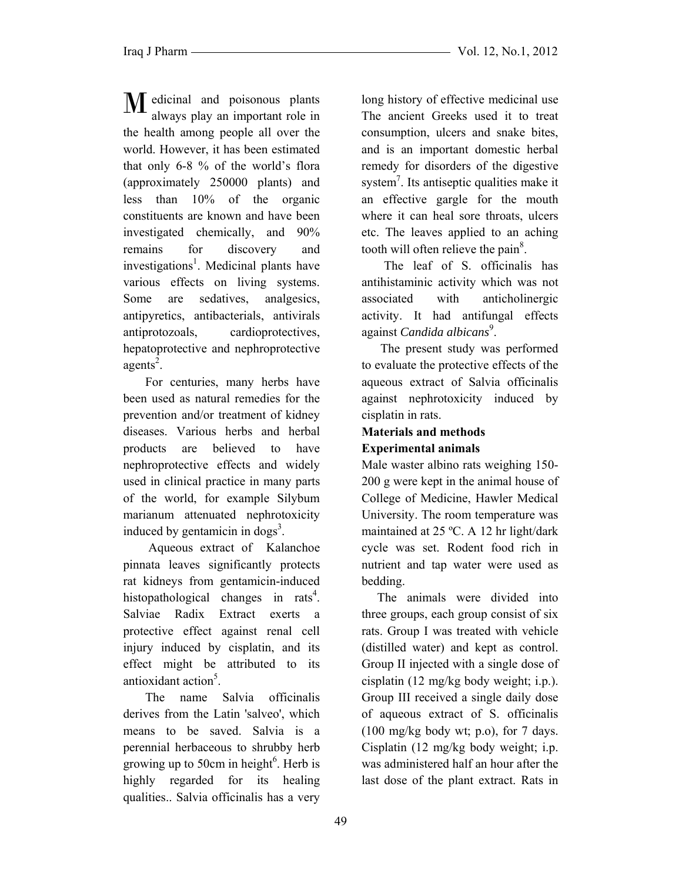$\bf{M}$  edicinal and poisonous plants<br>always play an important role in always play an important role in the health among people all over the world. However, it has been estimated that only 6-8 % of the world's flora (approximately 250000 plants) and less than 10% of the organic constituents are known and have been investigated chemically, and 90% remains for discovery and investigations<sup>1</sup>. Medicinal plants have various effects on living systems. Some are sedatives, analgesics, antipyretics, antibacterials, antivirals antiprotozoals, cardioprotectives, hepatoprotective and nephroprotective agents<sup>2</sup>.

 For centuries, many herbs have been used as natural remedies for the prevention and/or treatment of kidney diseases. Various herbs and herbal products are believed to have nephroprotective effects and widely used in clinical practice in many parts of the world, for example Silybum marianum attenuated nephrotoxicity induced by gentamicin in dogs<sup>3</sup>.

 Aqueous extract of Kalanchoe pinnata leaves significantly protects rat kidneys from gentamicin-induced histopathological changes in rats<sup>4</sup>. Salviae Radix Extract exerts a protective effect against renal cell injury induced by cisplatin, and its effect might be attributed to its antioxidant action<sup>5</sup>.

 The name Salvia officinalis derives from the Latin 'salveo', which means to be saved. Salvia is a perennial herbaceous to shrubby herb growing up to 50cm in height<sup>6</sup>. Herb is highly regarded for its healing qualities.. Salvia officinalis has a very

long history of effective medicinal use The ancient Greeks used it to treat consumption, ulcers and snake bites, and is an important domestic herbal remedy for disorders of the digestive system<sup>7</sup>. Its antiseptic qualities make it an effective gargle for the mouth where it can heal sore throats, ulcers etc. The leaves applied to an aching tooth will often relieve the pain<sup>8</sup>.

 The leaf of S. officinalis has antihistaminic activity which was not associated with anticholinergic activity. It had antifungal effects against *Candida albicans*<sup>9</sup>.

 The present study was performed to evaluate the protective effects of the aqueous extract of Salvia officinalis against nephrotoxicity induced by cisplatin in rats.

# **Materials and methods Experimental animals**

Male waster albino rats weighing 150- 200 g were kept in the animal house of College of Medicine, Hawler Medical University. The room temperature was maintained at 25 ºC. A 12 hr light/dark cycle was set. Rodent food rich in nutrient and tap water were used as bedding.

 The animals were divided into three groups, each group consist of six rats. Group I was treated with vehicle (distilled water) and kept as control. Group II injected with a single dose of cisplatin (12 mg/kg body weight; i.p.). Group III received a single daily dose of aqueous extract of S. officinalis  $(100 \text{ mg/kg}$  body wt; p.o), for 7 days. Cisplatin (12 mg/kg body weight; i.p. was administered half an hour after the last dose of the plant extract. Rats in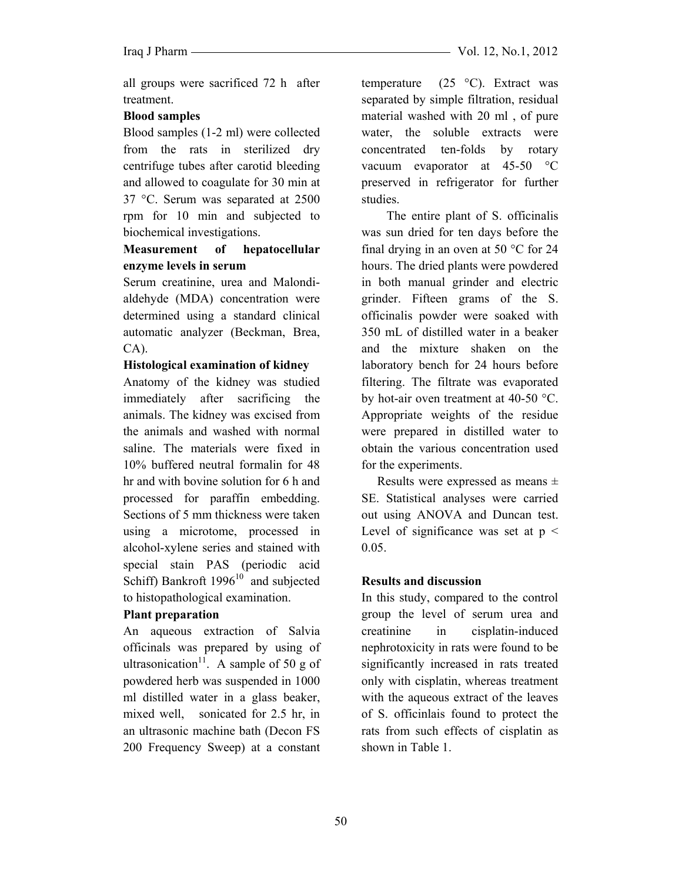all groups were sacrificed 72 h after treatment.

### **Blood samples**

Blood samples (1-2 ml) were collected from the rats in sterilized dry centrifuge tubes after carotid bleeding and allowed to coagulate for 30 min at 37 °C. Serum was separated at 2500 rpm for 10 min and subjected to biochemical investigations.

## **Measurement of hepatocellular enzyme levels in serum**

Serum creatinine, urea and Malondialdehyde (MDA) concentration were determined using a standard clinical automatic analyzer (Beckman, Brea, CA).

### **Histological examination of kidney**

Anatomy of the kidney was studied immediately after sacrificing the animals. The kidney was excised from the animals and washed with normal saline. The materials were fixed in 10% buffered neutral formalin for 48 hr and with bovine solution for 6 h and processed for paraffin embedding. Sections of 5 mm thickness were taken using a microtome, processed in alcohol-xylene series and stained with special stain PAS (periodic acid Schiff) Bankroft  $1996^{10}$  and subjected to histopathological examination.

### **Plant preparation**

An aqueous extraction of Salvia officinals was prepared by using of ultrasonication<sup>11</sup>. A sample of 50 g of powdered herb was suspended in 1000 ml distilled water in a glass beaker, mixed well, sonicated for 2.5 hr, in an ultrasonic machine bath (Decon FS 200 Frequency Sweep) at a constant temperature  $(25 \degree C)$ . Extract was separated by simple filtration, residual material washed with 20 ml , of pure water, the soluble extracts were concentrated ten-folds by rotary vacuum evaporator at 45-50 °C preserved in refrigerator for further studies.

 The entire plant of S. officinalis was sun dried for ten days before the final drying in an oven at 50 °C for 24 hours. The dried plants were powdered in both manual grinder and electric grinder. Fifteen grams of the S. officinalis powder were soaked with 350 mL of distilled water in a beaker and the mixture shaken on the laboratory bench for 24 hours before filtering. The filtrate was evaporated by hot-air oven treatment at 40-50 °C. Appropriate weights of the residue were prepared in distilled water to obtain the various concentration used for the experiments.

 Results were expressed as means ± SE. Statistical analyses were carried out using ANOVA and Duncan test. Level of significance was set at  $p <$ 0.05.

## **Results and discussion**

In this study, compared to the control group the level of serum urea and creatinine in cisplatin-induced nephrotoxicity in rats were found to be significantly increased in rats treated only with cisplatin, whereas treatment with the aqueous extract of the leaves of S. officinlais found to protect the rats from such effects of cisplatin as shown in Table 1.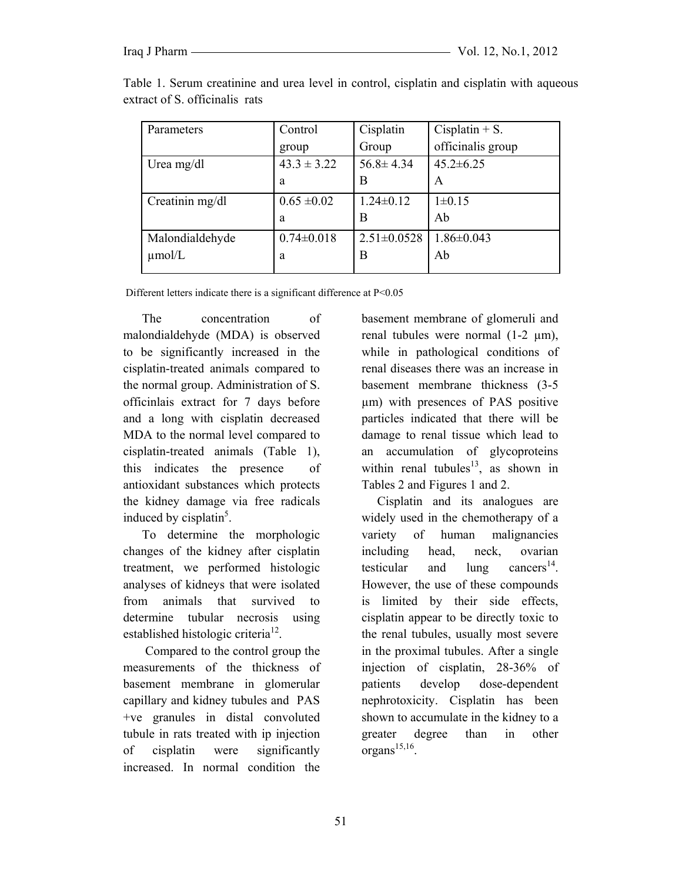| Parameters      | Control          | Cisplatin         | Cisplatin $+ S$ . |
|-----------------|------------------|-------------------|-------------------|
|                 | group            | Group             | officinalis group |
| Urea mg/dl      | $43.3 \pm 3.22$  | $56.8 \pm 4.34$   | $45.2 \pm 6.25$   |
|                 | a                | В                 | A                 |
| Creatinin mg/dl | $0.65 \pm 0.02$  | $1.24 \pm 0.12$   | $1\pm 0.15$       |
|                 | a                | В                 | Ab                |
| Malondialdehyde | $0.74 \pm 0.018$ | $2.51 \pm 0.0528$ | $1.86 \pm 0.043$  |
| $\mu$ mol/L     | a                | В                 | Ab                |

Table 1. Serum creatinine and urea level in control, cisplatin and cisplatin with aqueous extract of S. officinalis rats

Different letters indicate there is a significant difference at P<0.05

 The concentration of malondialdehyde (MDA) is observed to be significantly increased in the cisplatin-treated animals compared to the normal group. Administration of S. officinlais extract for 7 days before and a long with cisplatin decreased MDA to the normal level compared to cisplatin-treated animals (Table 1), this indicates the presence of antioxidant substances which protects the kidney damage via free radicals induced by cisplatin<sup>5</sup>.

 To determine the morphologic changes of the kidney after cisplatin treatment, we performed histologic analyses of kidneys that were isolated from animals that survived to determine tubular necrosis using established histologic criteria<sup>12</sup>.

 Compared to the control group the measurements of the thickness of basement membrane in glomerular capillary and kidney tubules and PAS +ve granules in distal convoluted tubule in rats treated with ip injection of cisplatin were significantly increased. In normal condition the

basement membrane of glomeruli and renal tubules were normal  $(1-2 \mu m)$ , while in pathological conditions of renal diseases there was an increase in basement membrane thickness (3-5 µm) with presences of PAS positive particles indicated that there will be damage to renal tissue which lead to an accumulation of glycoproteins within renal tubules<sup>13</sup>, as shown in Tables 2 and Figures 1 and 2.

 Cisplatin and its analogues are widely used in the chemotherapy of a variety of human malignancies including head, neck, ovarian testicular and lung cancers<sup>14</sup>. However, the use of these compounds is limited by their side effects, cisplatin appear to be directly toxic to the renal tubules, usually most severe in the proximal tubules. After a single injection of cisplatin, 28-36% of patients develop dose-dependent nephrotoxicity. Cisplatin has been shown to accumulate in the kidney to a greater degree than in other  $organs<sup>15,16</sup>$ .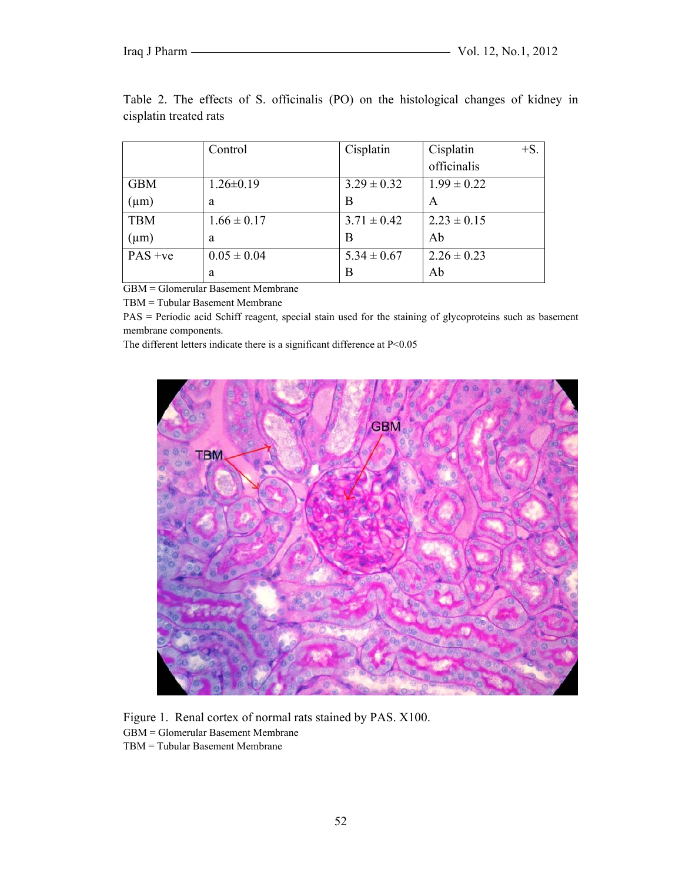|                                  | Control          | Cisplatin       | $+S$ .<br>Cisplatin |
|----------------------------------|------------------|-----------------|---------------------|
|                                  |                  |                 | officinalis         |
| <b>GBM</b>                       | $1.26 \pm 0.19$  | $3.29 \pm 0.32$ | $1.99 \pm 0.22$     |
| $(\mu m)$                        | a                | В               | A                   |
| <b>TBM</b>                       | $1.66 \pm 0.17$  | $3.71 \pm 0.42$ | $2.23 \pm 0.15$     |
| $(\mu m)$                        | a                | В               | Ab                  |
| $PAS +ve$                        | $0.05 \pm 0.04$  | $5.34 \pm 0.67$ | $2.26 \pm 0.23$     |
| $\sim$ 1<br>$\sim$ $\sim$ $\sim$ | a<br>$\sim$<br>. | В               | Ab                  |

Table 2. The effects of S. officinalis (PO) on the histological changes of kidney in cisplatin treated rats

GBM = Glomerular Basement Membrane

TBM = Tubular Basement Membrane

PAS = Periodic acid Schiff reagent, special stain used for the staining of glycoproteins such as basement membrane components.

The different letters indicate there is a significant difference at P<0.05



Figure 1. Renal cortex of normal rats stained by PAS. X100. GBM = Glomerular Basement Membrane TBM = Tubular Basement Membrane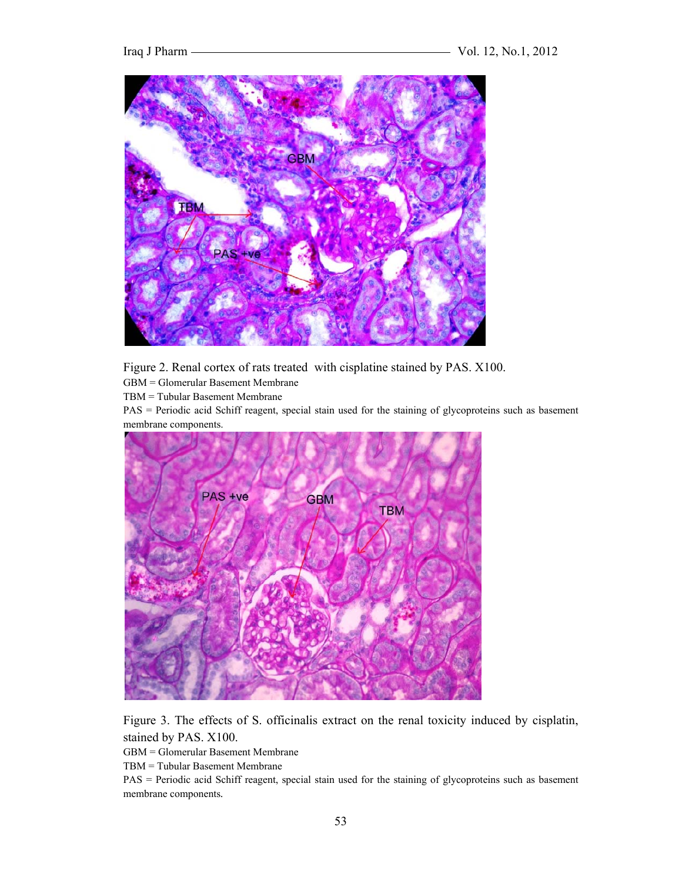

Figure 2. Renal cortex of rats treated with cisplatine stained by PAS. X100.

GBM = Glomerular Basement Membrane

TBM = Tubular Basement Membrane

PAS = Periodic acid Schiff reagent, special stain used for the staining of glycoproteins such as basement membrane components.



Figure 3. The effects of S. officinalis extract on the renal toxicity induced by cisplatin, stained by PAS. X100.

GBM = Glomerular Basement Membrane

TBM = Tubular Basement Membrane

PAS = Periodic acid Schiff reagent, special stain used for the staining of glycoproteins such as basement membrane components*.*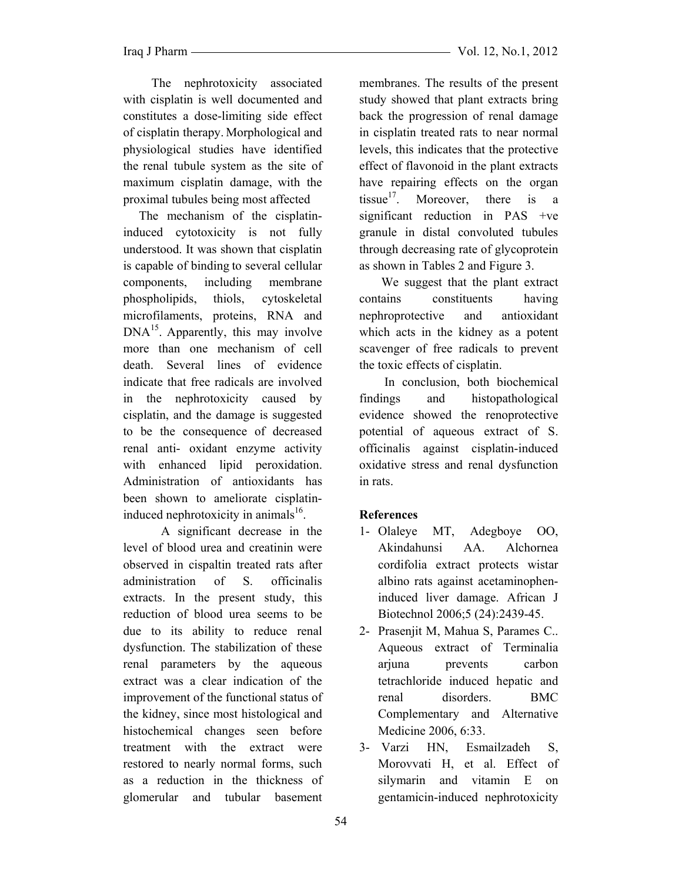The nephrotoxicity associated with cisplatin is well documented and constitutes a dose-limiting side effect of cisplatin therapy. Morphological and physiological studies have identified the renal tubule system as the site of maximum cisplatin damage, with the proximal tubules being most affected

 The mechanism of the cisplatininduced cytotoxicity is not fully understood. It was shown that cisplatin is capable of binding to several cellular components, including membrane phospholipids, thiols, cytoskeletal microfilaments, proteins, RNA and  $DNA<sup>15</sup>$ . Apparently, this may involve more than one mechanism of cell death. Several lines of evidence indicate that free radicals are involved in the nephrotoxicity caused by cisplatin, and the damage is suggested to be the consequence of decreased renal anti- oxidant enzyme activity with enhanced lipid peroxidation. Administration of antioxidants has been shown to ameliorate cisplatininduced nephrotoxicity in animals $^{16}$ .

 A significant decrease in the level of blood urea and creatinin were observed in cispaltin treated rats after administration of S. officinalis extracts. In the present study, this reduction of blood urea seems to be due to its ability to reduce renal dysfunction. The stabilization of these renal parameters by the aqueous extract was a clear indication of the improvement of the functional status of the kidney, since most histological and histochemical changes seen before treatment with the extract were restored to nearly normal forms, such as a reduction in the thickness of glomerular and tubular basement membranes. The results of the present study showed that plant extracts bring back the progression of renal damage in cisplatin treated rats to near normal levels, this indicates that the protective effect of flavonoid in the plant extracts have repairing effects on the organ tissue<sup>17</sup>. Moreover, there is a significant reduction in PAS +ve granule in distal convoluted tubules through decreasing rate of glycoprotein as shown in Tables 2 and Figure 3.

 We suggest that the plant extract contains constituents having nephroprotective and antioxidant which acts in the kidney as a potent scavenger of free radicals to prevent the toxic effects of cisplatin.

 In conclusion, both biochemical findings and histopathological evidence showed the renoprotective potential of aqueous extract of S. officinalis against cisplatin-induced oxidative stress and renal dysfunction in rats.

# **References**

- 1- Olaleye MT, Adegboye OO, Akindahunsi AA. Alchornea cordifolia extract protects wistar albino rats against acetaminopheninduced liver damage. African J Biotechnol 2006;5 (24):2439-45.
- 2- Prasenjit M, Mahua S, Parames C.. Aqueous extract of Terminalia arjuna prevents carbon tetrachloride induced hepatic and renal disorders. BMC Complementary and Alternative Medicine 2006, 6:33.
- 3- Varzi HN, Esmailzadeh S, Morovvati H, et al. Effect of silymarin and vitamin E on gentamicin-induced nephrotoxicity